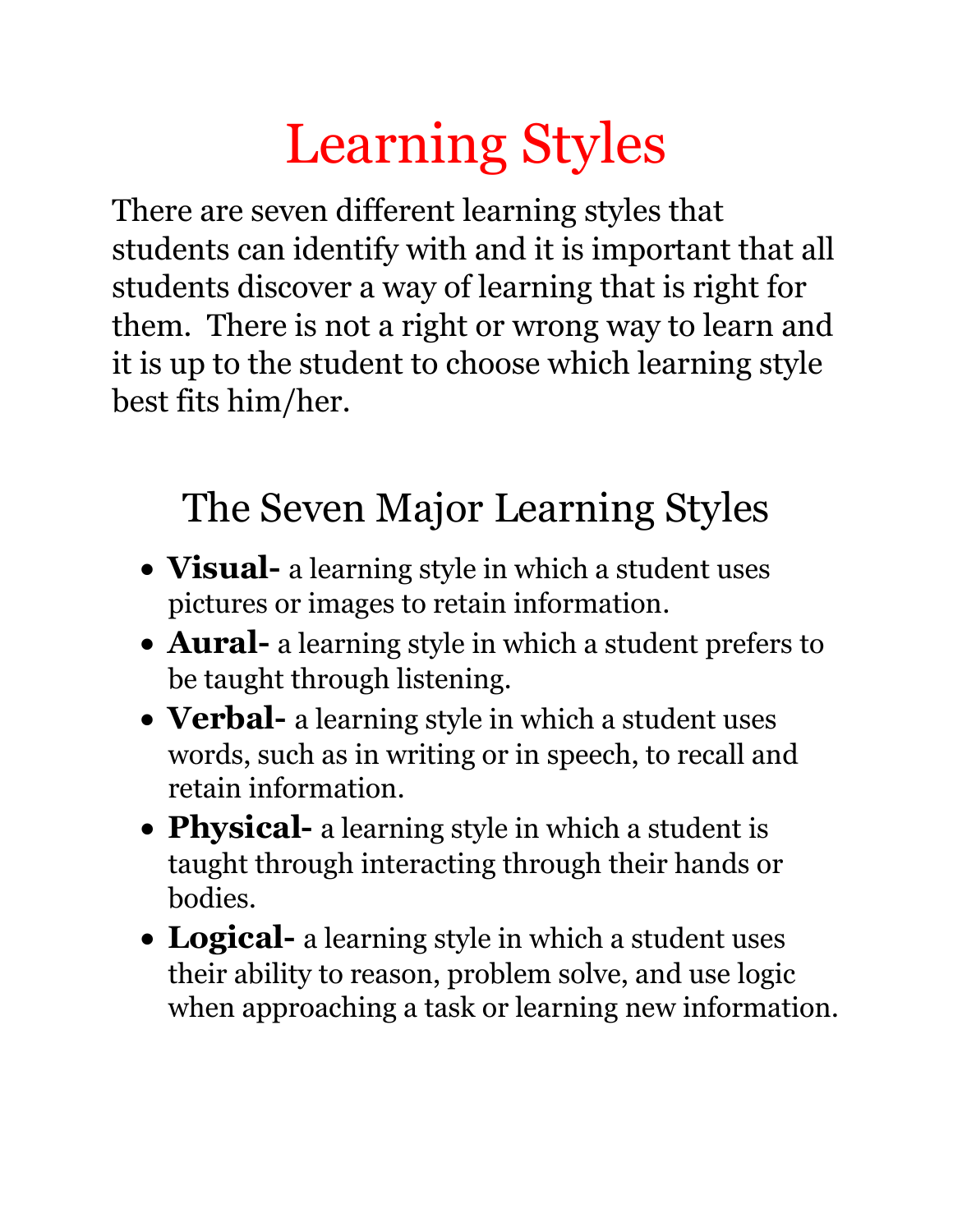## Learning Styles

There are seven different learning styles that students can identify with and it is important that all students discover a way of learning that is right for them. There is not a right or wrong way to learn and it is up to the student to choose which learning style best fits him/her.

## The Seven Major Learning Styles

- **Visual-** a learning style in which a student uses pictures or images to retain information.
- **Aural-** a learning style in which a student prefers to be taught through listening.
- **Verbal-** a learning style in which a student uses words, such as in writing or in speech, to recall and retain information.
- **Physical-** a learning style in which a student is taught through interacting through their hands or bodies.
- **Logical-** a learning style in which a student uses their ability to reason, problem solve, and use logic when approaching a task or learning new information.